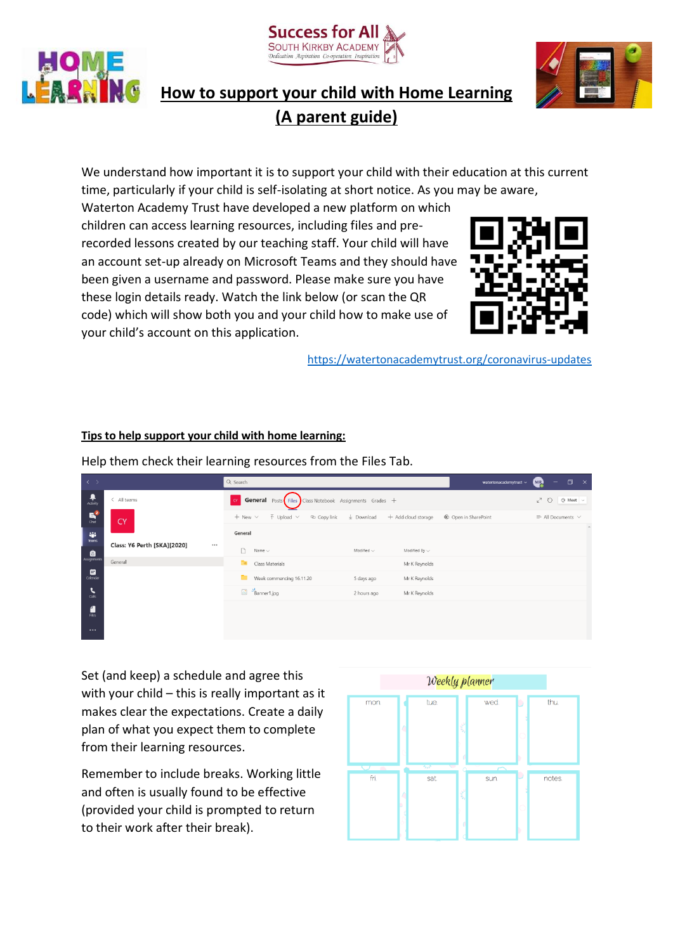





## **How to support your child with Home Learning (A parent guide)**

We understand how important it is to support your child with their education at this current time, particularly if your child is self-isolating at short notice. As you may be aware,

Waterton Academy Trust have developed a new platform on which children can access learning resources, including files and prerecorded lessons created by our teaching staff. Your child will have an account set-up already on Microsoft Teams and they should have been given a username and password. Please make sure you have these login details ready. Watch the link below (or scan the QR code) which will show both you and your child how to make use of your child's account on this application.



<https://watertonacademytrust.org/coronavirus-updates>

## **Tips to help support your child with home learning:**

Help them check their learning resources from the Files Tab.

| $\rightarrow$                    |                                         | Q Search                                                           |                                                        | watertonacademytrust ~ | $\Box$<br>$\mathbf{x}$<br>(MR<br>-      |  |
|----------------------------------|-----------------------------------------|--------------------------------------------------------------------|--------------------------------------------------------|------------------------|-----------------------------------------|--|
| Activity                         | All teams                               | <b>COM General</b> Posts Files Class Notebook Assignments Grades + |                                                        |                        | . ⊕ Meet ∨<br>$k^7$ $\circlearrowright$ |  |
| E<br>Chat                        | <b>CY</b>                               | $\bar{\uparrow}$ Upload $\vee$<br>$+$ New $\vee$                   | ⊕ Copy link $\frac{1}{2}$ Download + Add cloud storage | Cpen in SharePoint     | $\equiv$ All Documents $\vee$           |  |
| W.<br>Teams                      |                                         | General                                                            |                                                        |                        |                                         |  |
| $\bigoplus_{\text{Assigements}}$ | Class: Y6 Perth [SKA][2020]<br>$\cdots$ | Name $\smallsmile$                                                 | Modified $\smallsmile$<br>Modified By $\vee$           |                        |                                         |  |
|                                  | General                                 | Class Materials                                                    | Mr K Reynolds                                          |                        |                                         |  |
| $\Box$ Calendar                  |                                         | Week commencing 16.11.20                                           | Mr K Reynolds<br>5 days ago                            |                        |                                         |  |
| Calls                            |                                         | $\overline{\omega}$ $\frac{3!}{\text{Banner1.jpg}}$                | 2 hours ago<br>Mr K Reynolds                           |                        |                                         |  |
| $\frac{4}{\text{file}}$          |                                         |                                                                    |                                                        |                        |                                         |  |
| $\cdots$                         |                                         |                                                                    |                                                        |                        |                                         |  |
|                                  |                                         |                                                                    |                                                        |                        |                                         |  |

Set (and keep) a schedule and agree this with your child – this is really important as it makes clear the expectations. Create a daily plan of what you expect them to complete from their learning resources.

Remember to include breaks. Working little and often is usually found to be effective (provided your child is prompted to return to their work after their break).